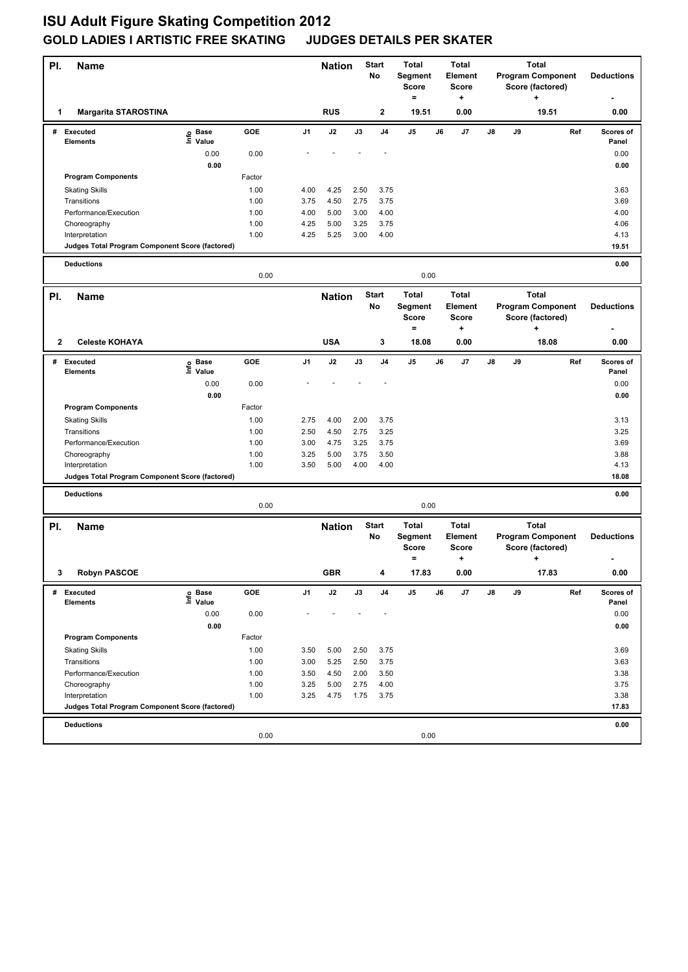## **ISU Adult Figure Skating Competition 2012 GOLD LADIES I ARTISTIC FREE SKATING JUDGES DETAILS PER SKATER**

| PI. | Name                                                              |                   |              |                | <b>Nation</b>                 |                                     | <b>Start</b><br>No | <b>Total</b><br>Segment<br>Score<br>$=$        |    | <b>Total</b><br>Element<br>Score<br>+ | <b>Total</b><br><b>Program Component</b><br>Score (factored)<br>÷ |    |                                                                   | <b>Deductions</b> |                     |
|-----|-------------------------------------------------------------------|-------------------|--------------|----------------|-------------------------------|-------------------------------------|--------------------|------------------------------------------------|----|---------------------------------------|-------------------------------------------------------------------|----|-------------------------------------------------------------------|-------------------|---------------------|
| 1   | <b>Margarita STAROSTINA</b>                                       |                   |              |                | <b>RUS</b>                    |                                     | 2                  | 19.51                                          |    | 0.00                                  | 19.51                                                             |    |                                                                   | 0.00              |                     |
| #   | <b>Executed</b><br>Elements                                       | e Base<br>⊑ Value | GOE          | J <sub>1</sub> | J2                            | J3                                  | J <sub>4</sub>     | J5                                             | J6 | J7                                    | J8                                                                | J9 |                                                                   | Ref               | Scores of<br>Panel  |
|     |                                                                   | 0.00              | 0.00         |                |                               |                                     |                    |                                                |    |                                       |                                                                   |    |                                                                   |                   | 0.00                |
|     |                                                                   | 0.00              |              |                |                               |                                     |                    |                                                |    |                                       |                                                                   |    |                                                                   |                   | 0.00                |
|     | <b>Program Components</b>                                         |                   | Factor       |                |                               |                                     |                    |                                                |    |                                       |                                                                   |    |                                                                   |                   |                     |
|     | <b>Skating Skills</b>                                             |                   | 1.00         | 4.00           | 4.25                          | 2.50                                | 3.75               |                                                |    |                                       |                                                                   |    |                                                                   |                   | 3.63                |
|     | Transitions                                                       |                   | 1.00         | 3.75           | 4.50                          | 2.75                                | 3.75               |                                                |    |                                       |                                                                   |    |                                                                   |                   | 3.69                |
|     | Performance/Execution                                             |                   | 1.00         | 4.00           | 5.00                          | 3.00                                | 4.00               |                                                |    |                                       |                                                                   |    |                                                                   |                   | 4.00                |
|     | Choreography                                                      |                   | 1.00         | 4.25           | 5.00                          | 3.25                                | 3.75               |                                                |    |                                       |                                                                   |    |                                                                   |                   | 4.06                |
|     | Interpretation<br>Judges Total Program Component Score (factored) |                   | 1.00         | 4.25           | 5.25                          | 3.00                                | 4.00               |                                                |    |                                       |                                                                   |    |                                                                   |                   | 4.13<br>19.51       |
|     |                                                                   |                   |              |                |                               |                                     |                    |                                                |    |                                       |                                                                   |    |                                                                   |                   |                     |
|     | <b>Deductions</b><br>0.00<br>0.00                                 |                   |              |                |                               |                                     |                    |                                                |    |                                       |                                                                   |    | 0.00                                                              |                   |                     |
| PI. | <b>Name</b>                                                       |                   |              |                | <b>Start</b><br><b>Nation</b> |                                     |                    | <b>Total</b><br><b>Total</b>                   |    |                                       |                                                                   |    |                                                                   |                   |                     |
|     |                                                                   |                   |              |                |                               |                                     | No                 | <b>Segment</b><br><b>Score</b><br><b>Score</b> |    | <b>Element</b>                        | <b>Total</b><br><b>Program Component</b><br>Score (factored)      |    |                                                                   | <b>Deductions</b> |                     |
|     |                                                                   |                   |              |                |                               |                                     |                    | $\equiv$                                       |    | +                                     |                                                                   |    | +                                                                 |                   |                     |
| 2   | <b>Celeste KOHAYA</b>                                             |                   |              |                | <b>USA</b>                    |                                     | 3                  | 18.08                                          |    | 0.00                                  |                                                                   |    | 18.08                                                             |                   | 0.00                |
| #   | <b>Executed</b>                                                   | e Base<br>⊑ Value | GOE          | J <sub>1</sub> | J2                            | J3                                  | J <sub>4</sub>     | J5                                             | J6 | J7                                    | $\mathsf{J}8$                                                     | J9 |                                                                   | Ref               | Scores of           |
|     | <b>Elements</b>                                                   |                   |              |                |                               |                                     |                    |                                                |    |                                       |                                                                   |    |                                                                   |                   | Panel               |
|     |                                                                   | 0.00<br>0.00      | 0.00         |                |                               |                                     |                    |                                                |    |                                       |                                                                   |    |                                                                   |                   | 0.00<br>0.00        |
|     | <b>Program Components</b>                                         |                   | Factor       |                |                               |                                     |                    |                                                |    |                                       |                                                                   |    |                                                                   |                   |                     |
|     | <b>Skating Skills</b>                                             |                   | 1.00         | 2.75           | 4.00                          | 2.00                                | 3.75               |                                                |    |                                       |                                                                   |    |                                                                   |                   | 3.13                |
|     | Transitions                                                       |                   | 1.00         | 2.50           | 4.50                          | 2.75                                | 3.25               |                                                |    |                                       |                                                                   |    |                                                                   |                   | 3.25                |
|     | Performance/Execution                                             |                   | 1.00         | 3.00           | 4.75                          | 3.25                                | 3.75               |                                                |    |                                       |                                                                   |    |                                                                   |                   | 3.69                |
|     | Choreography                                                      |                   | 1.00         | 3.25           | 5.00                          | 3.75                                | 3.50               |                                                |    |                                       |                                                                   |    |                                                                   |                   | 3.88                |
|     | Interpretation                                                    |                   | 1.00         | 3.50           | 5.00                          | 4.00                                | 4.00               |                                                |    |                                       |                                                                   |    |                                                                   |                   | 4.13                |
|     | Judges Total Program Component Score (factored)                   |                   |              |                |                               |                                     |                    |                                                |    |                                       |                                                                   |    |                                                                   |                   | 18.08               |
|     | <b>Deductions</b>                                                 |                   |              |                |                               |                                     |                    |                                                |    |                                       |                                                                   |    |                                                                   |                   | 0.00                |
|     |                                                                   |                   | 0.00         |                |                               |                                     |                    | 0.00                                           |    |                                       |                                                                   |    |                                                                   |                   |                     |
| PI. | <b>Name</b>                                                       |                   |              |                |                               | <b>Start</b><br><b>Nation</b><br>No |                    | <b>Total</b><br>Segment<br><b>Score</b><br>=   |    | <b>Total</b><br>Element<br>Score<br>٠ |                                                                   |    | <b>Total</b><br><b>Program Component</b><br>Score (factored)<br>٠ |                   | <b>Deductions</b>   |
| 3   | <b>Robyn PASCOE</b>                                               |                   |              |                | <b>GBR</b>                    |                                     |                    | 17.83                                          |    | 0.00                                  |                                                                   |    | 17.83                                                             |                   | $\boldsymbol{0.00}$ |
| #   | <b>Executed</b>                                                   | e Base<br>⊑ Value | GOE          | J1             | J2                            | J3                                  | J4                 | J5                                             | J6 | J7                                    | J8                                                                | J9 |                                                                   | Ref               | Scores of           |
|     | <b>Elements</b>                                                   |                   |              |                |                               |                                     |                    |                                                |    |                                       |                                                                   |    |                                                                   |                   | Panel               |
|     |                                                                   | 0.00              | 0.00         |                |                               |                                     |                    |                                                |    |                                       |                                                                   |    |                                                                   |                   | 0.00                |
|     | <b>Program Components</b>                                         | 0.00              | Factor       |                |                               |                                     |                    |                                                |    |                                       |                                                                   |    |                                                                   |                   | 0.00                |
|     |                                                                   |                   |              |                |                               |                                     |                    |                                                |    |                                       |                                                                   |    |                                                                   |                   |                     |
|     | <b>Skating Skills</b><br>Transitions                              |                   | 1.00<br>1.00 | 3.50<br>3.00   | 5.00<br>5.25                  | 2.50<br>2.50                        | 3.75<br>3.75       |                                                |    |                                       |                                                                   |    |                                                                   |                   | 3.69<br>3.63        |
|     | Performance/Execution                                             |                   | 1.00         | 3.50           | 4.50                          | 2.00                                | 3.50               |                                                |    |                                       |                                                                   |    |                                                                   |                   | 3.38                |
|     | Choreography                                                      |                   | 1.00         | 3.25           | 5.00                          | 2.75                                | 4.00               |                                                |    |                                       |                                                                   |    |                                                                   |                   | 3.75                |
|     | Interpretation                                                    |                   | 1.00         | 3.25           | 4.75                          | 1.75                                | 3.75               |                                                |    |                                       |                                                                   |    |                                                                   |                   | 3.38                |
|     | Judges Total Program Component Score (factored)                   |                   |              |                |                               |                                     |                    |                                                |    |                                       |                                                                   |    |                                                                   |                   | 17.83               |
|     | <b>Deductions</b>                                                 |                   |              |                |                               |                                     |                    |                                                |    |                                       |                                                                   |    |                                                                   |                   | 0.00                |
|     |                                                                   |                   | 0.00         |                |                               |                                     |                    | 0.00                                           |    |                                       |                                                                   |    |                                                                   |                   |                     |
|     |                                                                   |                   |              |                |                               |                                     |                    |                                                |    |                                       |                                                                   |    |                                                                   |                   |                     |